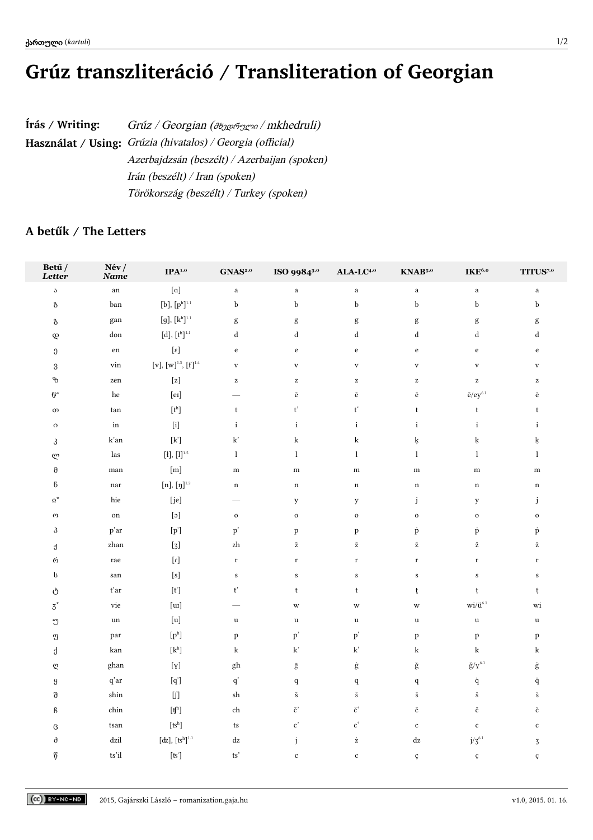## Grúz transzliteráció / Transliteration of Georgian

| Írás / Writing: | Grúz / Georgian ( $\partial_{\alpha}$ ogg $\gamma$ mkhedruli) |
|-----------------|---------------------------------------------------------------|
|                 | Használat / Using: Grúzia (hivatalos) / Georgia (official)    |
|                 | Azerbajdzsán (beszélt) / Azerbaijan (spoken)                  |
|                 | Irán (beszélt) / Iran (spoken)                                |
|                 | Törökország (beszélt) / Turkey (spoken)                       |

## A betűk / The Letters

| Betű /<br>Letter            | Név/<br>Name             | $\mathbf{IPA}^{\text{1.0}}$                                                                                                                                                                                                                                                                                                                                                                                                                                                                                                                                                                                                                                                                                                                                                                                                                                            | $\mathbf{GNAS}^{\scriptscriptstyle 2.0}$ | ISO 9984 <sup>3.0</sup>                        | $ALA-LC4.0$                                               | KNAB <sup>5.0</sup>                                                            | $\mathbf{IKE}^{6.0}$                                                           | $\mathbf{T}\mathbf{ITUS}^{7,\mathbf{o}}$              |
|-----------------------------|--------------------------|------------------------------------------------------------------------------------------------------------------------------------------------------------------------------------------------------------------------------------------------------------------------------------------------------------------------------------------------------------------------------------------------------------------------------------------------------------------------------------------------------------------------------------------------------------------------------------------------------------------------------------------------------------------------------------------------------------------------------------------------------------------------------------------------------------------------------------------------------------------------|------------------------------------------|------------------------------------------------|-----------------------------------------------------------|--------------------------------------------------------------------------------|--------------------------------------------------------------------------------|-------------------------------------------------------|
| $\mathcal S$                | $_{\rm an}$              | $\left[\mathrm{a}\right]$                                                                                                                                                                                                                                                                                                                                                                                                                                                                                                                                                                                                                                                                                                                                                                                                                                              | $\mathbf{a}$                             | $\mathbf{a}$                                   | $\mathbf{a}$                                              | $\mathbf{a}$                                                                   | $\rm{a}$                                                                       | $\mathbf{a}$                                          |
| ზ                           | ban                      | $[\mathbf{b}],\,[\mathbf{p}^\text{h}]^{1.1}$                                                                                                                                                                                                                                                                                                                                                                                                                                                                                                                                                                                                                                                                                                                                                                                                                           | $\mathbf b$                              | $\mathbf b$                                    | $\mathbf b$                                               | $\mathbf b$                                                                    | b                                                                              | b                                                     |
| $\mbox{ }^3\!\mbox{ }$      | gan                      | $[\mathfrak{g}],[\mathsf{k}^\mathtt{h}]^{1.1}$                                                                                                                                                                                                                                                                                                                                                                                                                                                                                                                                                                                                                                                                                                                                                                                                                         | $\mathbf{g}$                             | $\mathbf{g}$                                   | $\mathbf{g}$                                              | $\mathbf{g}$                                                                   | g                                                                              | $\mathbf{g}$                                          |
| $\mathcal{Q}$               | don                      | $[\mathbf{d}], [\mathbf{t}^\text{h}]^{1.1}$                                                                                                                                                                                                                                                                                                                                                                                                                                                                                                                                                                                                                                                                                                                                                                                                                            | $\rm d$                                  | $\mathrm{d}% \left\  \mathcal{H}\right\  _{A}$ | ${\rm d}$                                                 | ${\rm d}$                                                                      | ${\rm d}$                                                                      | $\rm d$                                               |
| $\ensuremath{\mathfrak{J}}$ | ${\rm e} {\rm n}$        | $[\epsilon]$                                                                                                                                                                                                                                                                                                                                                                                                                                                                                                                                                                                                                                                                                                                                                                                                                                                           | $\mathbf e$                              | $\rm e$                                        | $\rm e$                                                   | $\mathbf{e}% _{B}=\mathbf{e}_{B}+\mathbf{e}_{B}+\mathbf{e}_{B}+\mathbf{e}_{B}$ | $\mathbf{e}% _{B}=\mathbf{e}_{B}+\mathbf{e}_{B}+\mathbf{e}_{B}+\mathbf{e}_{B}$ | $\rm e$                                               |
| $\,3\,$                     | vin                      | $[\mathbf{v}], [\mathbf{w}]^{1.3}, [\mathbf{f}]^{1.4}$                                                                                                                                                                                                                                                                                                                                                                                                                                                                                                                                                                                                                                                                                                                                                                                                                 | $\mathbf{V}$                             | $\mathbf{V}$                                   | $\mathbf{V}$                                              | $\mathbf{V}$                                                                   | $\mathbf{V}$                                                                   | $\mathbf{V}$                                          |
| $\mathcal{P}$               | zen                      | $[\mathbf{z}]$                                                                                                                                                                                                                                                                                                                                                                                                                                                                                                                                                                                                                                                                                                                                                                                                                                                         | $\mathbf{Z}$                             | $\mathbf{z}$                                   | $\mathbf{z}$                                              | $\mathbf{z}$                                                                   | $\mathbf{Z}% ^{T}=\mathbf{Z}^{T}\times\mathbf{Z}^{T}$                          | $\mathbf{Z}% ^{T}=\mathbf{Z}^{T}\times\mathbf{Z}^{T}$ |
| $\mathbb{G}^*$              | he                       | $[$ eɪ]                                                                                                                                                                                                                                                                                                                                                                                                                                                                                                                                                                                                                                                                                                                                                                                                                                                                |                                          | $\bar{\mathrm{e}}$                             | $\bar{\mathrm{e}}$                                        | $\bar{\mathrm{e}}$                                                             | $\bar{e}/ey^{\scriptscriptstyle 6.1}$                                          | $\bar{\mathrm{e}}$                                    |
| $\infty$                    | tan                      | $[t^h] \centering% \includegraphics[width=0.9\columnwidth]{figures/fig_10.pdf} \includegraphics[width=0.9\columnwidth]{figures/fig_10.pdf} \includegraphics[width=0.9\columnwidth]{figures/fig_10.pdf} \includegraphics[width=0.9\columnwidth]{figures/fig_10.pdf} \includegraphics[width=0.9\columnwidth]{figures/fig_10.pdf} \includegraphics[width=0.9\columnwidth]{figures/fig_10.pdf} \includegraphics[width=0.9\columnwidth]{figures/fig_10.pdf} \includegraphics[width=0.9\columnwidth]{figures/fig_10.pdf} \includegraphics[width=0.9\columnwidth]{figures/fig_10.pdf} \includegraphics[width=0.9\columnwidth]{figures/fig_10.pdf} \include$                                                                                                                                                                                                                   | $^\mathrm{t}$                            | $\mathfrak{t}'$                                | $\mathsf{t}^{\mathfrak{c}}$                               | $\mathsf t$                                                                    | $\mathsf t$                                                                    | $\mathsf t$                                           |
| $\Omega$                    | $\operatorname{in}$      | $[$                                                                                                                                                                                                                                                                                                                                                                                                                                                                                                                                                                                                                                                                                                                                                                                                                                                                    | $\rm i$                                  | $\mathbf{i}$                                   | $\rm i$                                                   | $\rm i$                                                                        | $\rm i$                                                                        | $\rm i$                                               |
| 3                           | k'an                     | $[{\bf k'}] % \includegraphics[width=\textwidth]{images/Traj_4} \caption{The figure shows the number of parameters in the left and right.} \label{fig:Traj_4}$                                                                                                                                                                                                                                                                                                                                                                                                                                                                                                                                                                                                                                                                                                         | $\mathbf{k}'$                            | k                                              | $\mathbf k$                                               | ķ                                                                              | ķ                                                                              | ķ                                                     |
| ლ                           | las                      | $[\![\mathbf{i}]\!], [\![\mathbf{l}]\!]^{1.5}$                                                                                                                                                                                                                                                                                                                                                                                                                                                                                                                                                                                                                                                                                                                                                                                                                         | $\mathbf{l}$                             | $\mathbf{l}$                                   | $\mathbf{l}$                                              | $\mathbf{l}$                                                                   | $\mathbf{l}$                                                                   | $\mathbf{l}$                                          |
| $\mbox{\bf 0}$              | $_{\rm man}$             | $\left[ \text{m} \right]$                                                                                                                                                                                                                                                                                                                                                                                                                                                                                                                                                                                                                                                                                                                                                                                                                                              | ${\bf m}$                                | ${\bf m}$                                      | ${\bf m}$                                                 | ${\bf m}$                                                                      | ${\bf m}$                                                                      | ${\bf m}$                                             |
| $\mathbf 6$                 | $\operatorname{nar}$     | $[\mathbf{n}], [\mathbf{n}]^{1.2}$                                                                                                                                                                                                                                                                                                                                                                                                                                                                                                                                                                                                                                                                                                                                                                                                                                     | $\mathbf n$                              | $\mathbf n$                                    | $\mathbf n$                                               | $\mathbf n$                                                                    | $\mathbf n$                                                                    | $\mathbf n$                                           |
| $\Omega^\star$              | hie                      | [je]                                                                                                                                                                                                                                                                                                                                                                                                                                                                                                                                                                                                                                                                                                                                                                                                                                                                   | -                                        | y                                              | y                                                         | j                                                                              | $\mathbf y$                                                                    | $\mathbf{j}$                                          |
| $\omega$                    | $_{\rm on}$              | $[\mathfrak{c}]$                                                                                                                                                                                                                                                                                                                                                                                                                                                                                                                                                                                                                                                                                                                                                                                                                                                       | ${\bf o}$                                | $\mathbf{o}$                                   | $\mathbf{o}$                                              | $\mathbf{o}$                                                                   | $\mathbf{o}$                                                                   | $\mathbf{o}$                                          |
| $\mathfrak{Z}$              | p'ar                     | $\left[ p^{\prime }\right]$                                                                                                                                                                                                                                                                                                                                                                                                                                                                                                                                                                                                                                                                                                                                                                                                                                            | $\mathbf{p}'$                            | $\, {\bf p}$                                   | $\, {\bf p}$                                              | $\dot{\rm p}$                                                                  | $\dot{\mathbf{p}}$                                                             | p                                                     |
| ป็                          | zhan                     | $[3]$                                                                                                                                                                                                                                                                                                                                                                                                                                                                                                                                                                                                                                                                                                                                                                                                                                                                  | $\rm zh$                                 | ž                                              | $\check{\mathbf{z}}$                                      | $\check{\mathbf{z}}$                                                           | ž                                                                              | ž                                                     |
| რ                           | rae                      | $\left[ \begin{smallmatrix} 1\\ 1 \end{smallmatrix} \right]$                                                                                                                                                                                                                                                                                                                                                                                                                                                                                                                                                                                                                                                                                                                                                                                                           | $\bf r$                                  | $\bf r$                                        | $\mathbf r$                                               | $\mathbf r$                                                                    | $\bf r$                                                                        | $\mathbf r$                                           |
| b                           | san                      |                                                                                                                                                                                                                                                                                                                                                                                                                                                                                                                                                                                                                                                                                                                                                                                                                                                                        | $\boldsymbol{\mathsf{S}}$                | $\mathbf S$                                    | ${\bf S}$                                                 | ${\bf S}$                                                                      | $\,$ s                                                                         | ${\bf S}$                                             |
| $\mathring{\circ}$          | t'ar                     | $[t^{\prime}]$                                                                                                                                                                                                                                                                                                                                                                                                                                                                                                                                                                                                                                                                                                                                                                                                                                                         | $\mathsf{t}'$                            | t                                              | $^\mathrm{t}$                                             | ţ                                                                              | ţ                                                                              | ţ                                                     |
| $\mbox{5}^{\ast}$           | vie                      | [ <i>u</i> ]                                                                                                                                                                                                                                                                                                                                                                                                                                                                                                                                                                                                                                                                                                                                                                                                                                                           |                                          | $\mathbf{W}$                                   | $\ensuremath{\text{w}}$                                   | W                                                                              | $\mathbf{wi}/\ddot{\mathbf{u}}^{6.1}$                                          | wi                                                    |
| უ                           | $\,$ un                  | [u]                                                                                                                                                                                                                                                                                                                                                                                                                                                                                                                                                                                                                                                                                                                                                                                                                                                                    | $\mathbf u$                              | $\mathbf u$                                    | $\mathbf u$                                               | $\mathbf u$                                                                    | $\mathbf u$                                                                    | $\mathbf u$                                           |
| $\mathfrak V$               | par                      | $\left[p^{\rm h}\right]$                                                                                                                                                                                                                                                                                                                                                                                                                                                                                                                                                                                                                                                                                                                                                                                                                                               | $\, {\bf p}$                             | $\mathbf{p}'$                                  | $\mathbf{p}^{\text{^{\mathrm{c}}}}$                       | $\, {\bf p}$                                                                   | $\, {\bf p}$                                                                   | $\mathbf{p}$                                          |
| đ                           | kan                      | $\left[\mathrm{k}^{\mathrm{h}}\right]$                                                                                                                                                                                                                                                                                                                                                                                                                                                                                                                                                                                                                                                                                                                                                                                                                                 | k                                        | $\mathbf{k}'$                                  | $\mathbf{k}^{\prime}$                                     | k                                                                              | $\bf k$                                                                        | $\mathbf k$                                           |
| $\boldsymbol{\mathfrak{Q}}$ | ghan                     | $[y] \centering% \includegraphics[width=0.9\columnwidth]{figures/fig_10.pdf} \includegraphics[width=0.9\columnwidth]{figures/fig_2b.pdf} \includegraphics[width=0.9\columnwidth]{figures/fig_2b.pdf} \includegraphics[width=0.9\columnwidth]{figures/fig_2b.pdf} \includegraphics[width=0.9\columnwidth]{figures/fig_2b.pdf} \includegraphics[width=0.9\columnwidth]{figures/fig_2b.pdf} \includegraphics[width=0.9\columnwidth]{figures/fig_2b.pdf} \includegraphics[width=0.9\columnwidth]{figures/fig_2b.pdf} \includegraphics[width=0.9\columnwidth]{figures/fig_2b.pdf} \includegraphics[width=0.9\columnwidth]{figures/fig_2b.pdf} \includegraphics[$                                                                                                                                                                                                            | $\mathbf{g}\mathbf{h}$                   | $\bar{\mathrm{g}}$                             | $\dot{\mathbf{g}}$                                        | $\check{\mathbf{g}}$                                                           | $\check{g}/\gamma^{6.1}$                                                       | ġ                                                     |
| $\boldsymbol{\mathcal{Y}}$  | q'ar                     |                                                                                                                                                                                                                                                                                                                                                                                                                                                                                                                                                                                                                                                                                                                                                                                                                                                                        | $\mathbf{q'}$                            | $\mathbf q$                                    | $\mathbf q$                                               | $\mathbf q$                                                                    | $\dot{\mathbf{q}}$                                                             | ġ                                                     |
| $\rm \tilde{o}$             | shin                     | $[] \centering \includegraphics[width=0.47\textwidth]{Figures/PD1.png} \caption{The 3D (black) model for a different region of the left (red) and the right (red) model for a different region of the right (red) and the right (red) model for a different region of the right (red) and the right (red) field for a different region of the right (red) and the right (red) field for a different region of the right (red) and the right (red) field for a different region of the right (red) and the right (red) field for a different region of the right (red) and the right (red) field for a different region of the right (red) and the right (red) field for a different region of the right (red) and the right (red) field for a different region of the right (red) and the right (red) field for a different region of the right (red) and the right ($ | sh                                       | š                                              | $\check{\mathbf{s}}$                                      | $\check{\text{s}}$                                                             | $\check{\mathbf{s}}$                                                           | $\check{\mathbf{s}}$                                  |
| ß                           | chin                     | $[\mathfrak{t}\mathfrak{f}^n]$                                                                                                                                                                                                                                                                                                                                                                                                                                                                                                                                                                                                                                                                                                                                                                                                                                         | ${\rm ch}$                               | $\check{\rm c}$ '                              | $\check{\rm c}^{\hskip1pt{\scriptscriptstyle\mathsf{c}}}$ | č                                                                              | č                                                                              | č                                                     |
| $\mathcal G$                | tsan                     | [ts <sup>h</sup> ]                                                                                                                                                                                                                                                                                                                                                                                                                                                                                                                                                                                                                                                                                                                                                                                                                                                     | ts                                       | $\mathbf{c}^{\text{,}}$                        | $\mathbf{c}^*$                                            | $\mathbf c$                                                                    | $\mathbf c$                                                                    | $\mathbf c$                                           |
| $\rm{d}$                    | $dzil$                   | $[{\rm d}\!z],\,[{\rm t}\!s^{\rm h}]^{1.1}$                                                                                                                                                                                                                                                                                                                                                                                                                                                                                                                                                                                                                                                                                                                                                                                                                            | $\mathrm{d}\mathbf{z}$                   | $\mathbf j$                                    | $\dot{\rm z}$                                             | dz                                                                             | $j / 3^{6.1}$                                                                  | $\sqrt{3}$                                            |
| $\boldsymbol{\vartheta}$    | $\operatorname{ts'\!il}$ | [ts']                                                                                                                                                                                                                                                                                                                                                                                                                                                                                                                                                                                                                                                                                                                                                                                                                                                                  | $\mathsf{ts}'$                           | $\mathbf c$                                    | $\mathbf c$                                               | ç                                                                              | $\mathbf{c}$                                                                   | $\mathop{\rm c}\nolimits$                             |
|                             |                          |                                                                                                                                                                                                                                                                                                                                                                                                                                                                                                                                                                                                                                                                                                                                                                                                                                                                        |                                          |                                                |                                                           |                                                                                |                                                                                |                                                       |